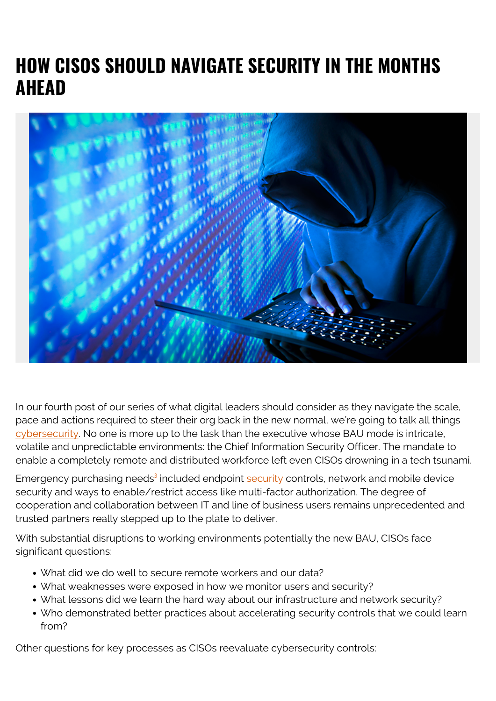# **HOW CISOS SHOULD NAVIGATE SECURITY IN THE MONTHS AHEAD**



In our fourth post of our series of what digital leaders should consider as they navigate the scale, pace and actions required to steer their org back in the new normal, we're going to talk all things [cybersecurity](https://blogs.bmc.com/blogs/cybersecurity/). No one is more up to the task than the executive whose BAU mode is intricate, volatile and unpredictable environments: the Chief Information Security Officer. The mandate to enable a completely remote and distributed workforce left even CISOs drowning in a tech tsunami.

Emergency purchasing needs<sup>[3](#page--1-0)</sup> included endpoint **security** controls, network and mobile device security and ways to enable/restrict access like multi-factor authorization. The degree of cooperation and collaboration between IT and line of business users remains unprecedented and trusted partners really stepped up to the plate to deliver.

With substantial disruptions to working environments potentially the new BAU, CISOs face significant questions:

- What did we do well to secure remote workers and our data?
- What weaknesses were exposed in how we monitor users and security?
- What lessons did we learn the hard way about our infrastructure and network security?
- Who demonstrated better practices about accelerating security controls that we could learn from?

Other questions for key processes as CISOs reevaluate cybersecurity controls: